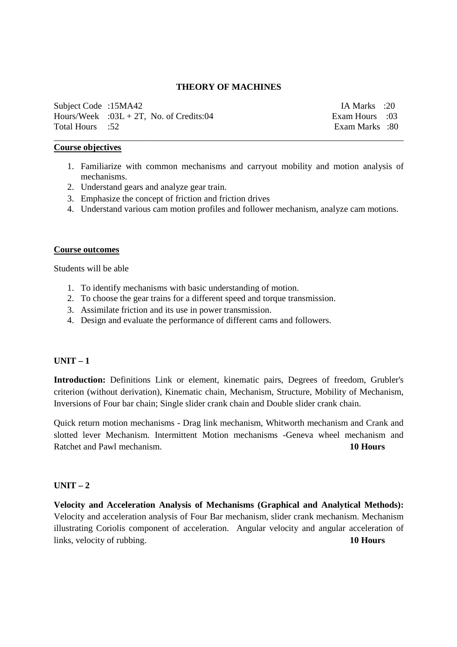#### **THEORY OF MACHINES**

\_\_\_\_\_\_\_\_\_\_\_\_\_\_\_\_\_\_\_\_\_\_\_\_\_\_\_\_\_\_\_\_\_\_\_\_\_\_\_\_\_\_\_\_\_\_\_\_\_\_\_\_\_\_\_\_\_\_\_\_\_\_\_\_\_\_\_\_\_\_\_\_\_\_\_\_\_\_

Subject Code :15MA42 IA Marks :20 Hours/Week :03L + 2T, No. of Credits:04 Exam Hours :03 Total Hours :52 Exam Marks :80

#### **Course objectives**

- 1. Familiarize with common mechanisms and carryout mobility and motion analysis of mechanisms.
- 2. Understand gears and analyze gear train.
- 3. Emphasize the concept of friction and friction drives
- 4. Understand various cam motion profiles and follower mechanism, analyze cam motions.

### **Course outcomes**

Students will be able

- 1. To identify mechanisms with basic understanding of motion.
- 2. To choose the gear trains for a different speed and torque transmission.
- 3. Assimilate friction and its use in power transmission.
- 4. Design and evaluate the performance of different cams and followers.

### $UNIT - 1$

**Introduction:** Definitions Link or element, kinematic pairs, Degrees of freedom, Grubler's criterion (without derivation), Kinematic chain, Mechanism, Structure, Mobility of Mechanism, Inversions of Four bar chain; Single slider crank chain and Double slider crank chain.

Quick return motion mechanisms - Drag link mechanism, Whitworth mechanism and Crank and slotted lever Mechanism. Intermittent Motion mechanisms -Geneva wheel mechanism and Ratchet and Pawl mechanism. **10 Hours** 

# $UNIT - 2$

**Velocity and Acceleration Analysis of Mechanisms (Graphical and Analytical Methods):** Velocity and acceleration analysis of Four Bar mechanism, slider crank mechanism. Mechanism illustrating Coriolis component of acceleration. Angular velocity and angular acceleration of links, velocity of rubbing. **10 Hours**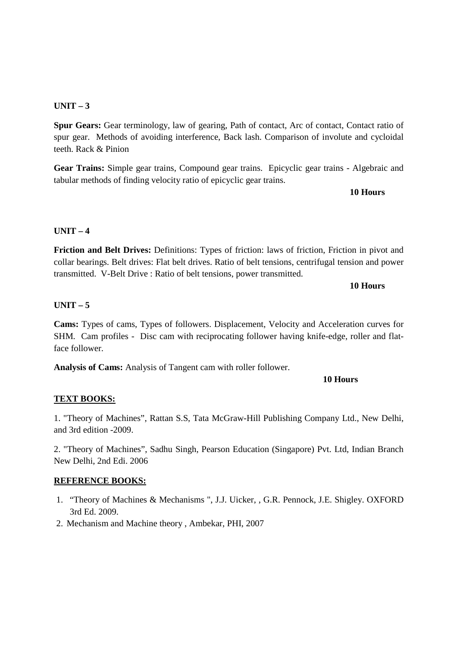### **UNIT – 3**

**Spur Gears:** Gear terminology, law of gearing, Path of contact, Arc of contact, Contact ratio of spur gear. Methods of avoiding interference, Back lash. Comparison of involute and cycloidal teeth. Rack & Pinion

**Gear Trains:** Simple gear trains, Compound gear trains. Epicyclic gear trains - Algebraic and tabular methods of finding velocity ratio of epicyclic gear trains.

**10 Hours**

### **UNIT – 4**

**Friction and Belt Drives:** Definitions: Types of friction: laws of friction, Friction in pivot and collar bearings. Belt drives: Flat belt drives. Ratio of belt tensions, centrifugal tension and power transmitted. V-Belt Drive : Ratio of belt tensions, power transmitted.

**10 Hours**

### **UNIT – 5**

**Cams:** Types of cams, Types of followers. Displacement, Velocity and Acceleration curves for SHM. Cam profiles - Disc cam with reciprocating follower having knife-edge, roller and flatface follower.

**Analysis of Cams:** Analysis of Tangent cam with roller follower.

### **10 Hours**

# **TEXT BOOKS:**

1. "Theory of Machines", Rattan S.S, Tata McGraw-Hill Publishing Company Ltd., New Delhi, and 3rd edition -2009.

2. "Theory of Machines", Sadhu Singh, Pearson Education (Singapore) Pvt. Ltd, Indian Branch New Delhi, 2nd Edi. 2006

### **REFERENCE BOOKS:**

- 1. "Theory of Machines & Mechanisms ", J.J. Uicker, , G.R. Pennock, J.E. Shigley. OXFORD 3rd Ed. 2009.
- 2. Mechanism and Machine theory , Ambekar, PHI, 2007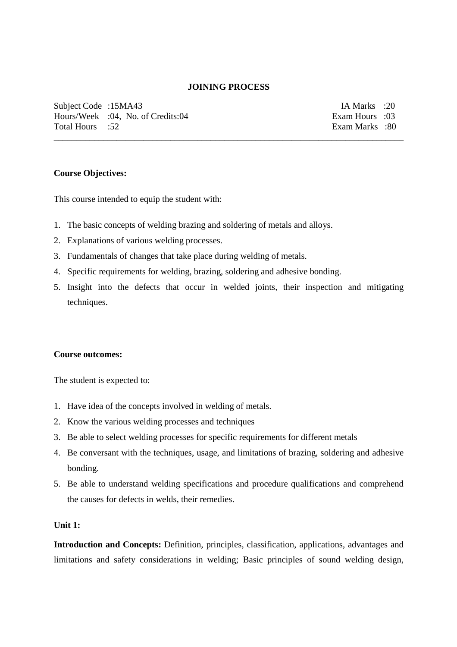#### **JOINING PROCESS**

\_\_\_\_\_\_\_\_\_\_\_\_\_\_\_\_\_\_\_\_\_\_\_\_\_\_\_\_\_\_\_\_\_\_\_\_\_\_\_\_\_\_\_\_\_\_\_\_\_\_\_\_\_\_\_\_\_\_\_\_\_\_\_\_\_\_\_\_\_\_\_\_\_\_\_\_\_\_

Subject Code :15MA43 IA Marks :20 Hours/Week :04, No. of Credits:04 Exam Hours :03 Total Hours :52 Exam Marks :80

#### **Course Objectives:**

This course intended to equip the student with:

- 1. The basic concepts of welding brazing and soldering of metals and alloys.
- 2. Explanations of various welding processes.
- 3. Fundamentals of changes that take place during welding of metals.
- 4. Specific requirements for welding, brazing, soldering and adhesive bonding.
- 5. Insight into the defects that occur in welded joints, their inspection and mitigating techniques.

#### **Course outcomes:**

The student is expected to:

- 1. Have idea of the concepts involved in welding of metals.
- 2. Know the various welding processes and techniques
- 3. Be able to select welding processes for specific requirements for different metals
- 4. Be conversant with the techniques, usage, and limitations of brazing, soldering and adhesive bonding.
- 5. Be able to understand welding specifications and procedure qualifications and comprehend the causes for defects in welds, their remedies.

### **Unit 1:**

**Introduction and Concepts:** Definition, principles, classification, applications, advantages and limitations and safety considerations in welding; Basic principles of sound welding design,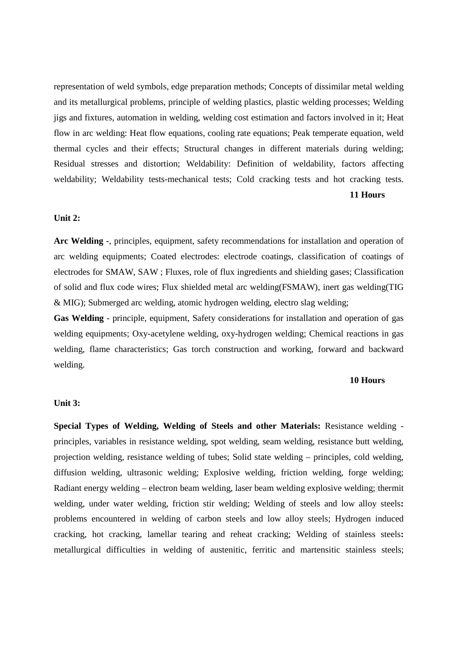representation of weld symbols, edge preparation methods; Concepts of dissimilar metal welding and its metallurgical problems, principle of welding plastics, plastic welding processes; Welding jigs and fixtures, automation in welding, welding cost estimation and factors involved in it; Heat flow in arc welding: Heat flow equations, cooling rate equations; Peak temperate equation, weld thermal cycles and their effects; Structural changes in different materials during welding; Residual stresses and distortion; Weldability: Definition of weldability, factors affecting weldability; Weldability tests-mechanical tests; Cold cracking tests and hot cracking tests. **11 Hours**

#### **Unit 2:**

**Arc Welding** -, principles, equipment, safety recommendations for installation and operation of arc welding equipments; Coated electrodes: electrode coatings, classification of coatings of electrodes for SMAW, SAW ; Fluxes, role of flux ingredients and shielding gases; Classification of solid and flux code wires; Flux shielded metal arc welding(FSMAW), inert gas welding(TIG & MIG); Submerged arc welding, atomic hydrogen welding, electro slag welding;

**Gas Welding** - principle, equipment, Safety considerations for installation and operation of gas welding equipments; Oxy-acetylene welding, oxy-hydrogen welding; Chemical reactions in gas welding, flame characteristics; Gas torch construction and working, forward and backward welding.

#### **10 Hours**

#### **Unit 3:**

**Special Types of Welding, Welding of Steels and other Materials:** Resistance welding principles, variables in resistance welding, spot welding, seam welding, resistance butt welding, projection welding, resistance welding of tubes; Solid state welding – principles, cold welding, diffusion welding, ultrasonic welding; Explosive welding, friction welding, forge welding; Radiant energy welding – electron beam welding, laser beam welding explosive welding; thermit welding, under water welding, friction stir welding; Welding of steels and low alloy steels**:**  problems encountered in welding of carbon steels and low alloy steels; Hydrogen induced cracking, hot cracking, lamellar tearing and reheat cracking; Welding of stainless steels**:**  metallurgical difficulties in welding of austenitic, ferritic and martensitic stainless steels;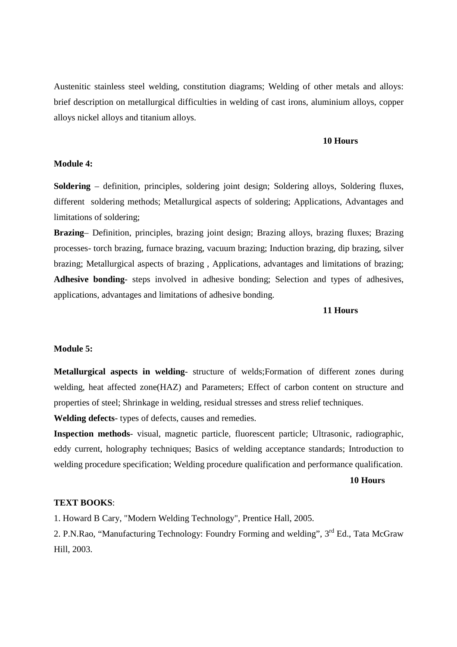Austenitic stainless steel welding, constitution diagrams; Welding of other metals and alloys: brief description on metallurgical difficulties in welding of cast irons, aluminium alloys, copper alloys nickel alloys and titanium alloys.

#### **10 Hours**

#### **Module 4:**

**Soldering** – definition, principles, soldering joint design; Soldering alloys, Soldering fluxes, different soldering methods; Metallurgical aspects of soldering; Applications, Advantages and limitations of soldering;

**Brazing**– Definition, principles, brazing joint design; Brazing alloys, brazing fluxes; Brazing processes- torch brazing, furnace brazing, vacuum brazing; Induction brazing, dip brazing, silver brazing; Metallurgical aspects of brazing , Applications, advantages and limitations of brazing; **Adhesive bonding**- steps involved in adhesive bonding; Selection and types of adhesives, applications, advantages and limitations of adhesive bonding.

#### **11 Hours**

#### **Module 5:**

**Metallurgical aspects in welding**- structure of welds;Formation of different zones during welding, heat affected zone(HAZ) and Parameters; Effect of carbon content on structure and properties of steel; Shrinkage in welding, residual stresses and stress relief techniques.

**Welding defects**- types of defects, causes and remedies.

**Inspection methods**- visual, magnetic particle, fluorescent particle; Ultrasonic, radiographic, eddy current, holography techniques; Basics of welding acceptance standards; Introduction to welding procedure specification; Welding procedure qualification and performance qualification.

#### **10 Hours**

#### **TEXT BOOKS**:

1. Howard B Cary, "Modern Welding Technology", Prentice Hall, 2005.

2. P.N.Rao, "Manufacturing Technology: Foundry Forming and welding", 3<sup>rd</sup> Ed., Tata McGraw Hill, 2003.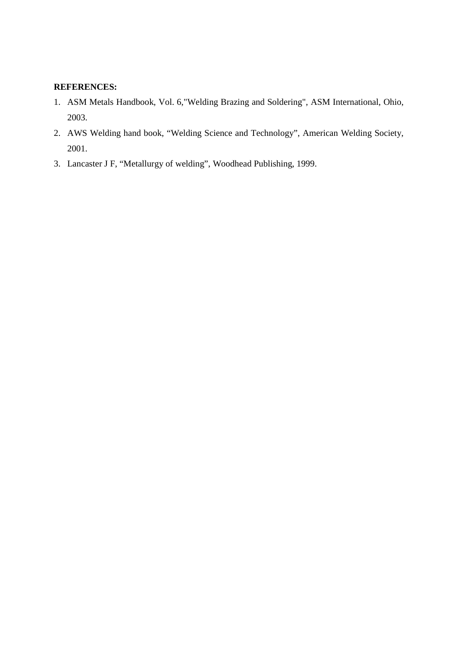### **REFERENCES:**

- 1. ASM Metals Handbook, Vol. 6,"Welding Brazing and Soldering", ASM International, Ohio, 2003.
- 2. AWS Welding hand book, "Welding Science and Technology", American Welding Society, 2001.
- 3. Lancaster J F, "Metallurgy of welding", Woodhead Publishing, 1999.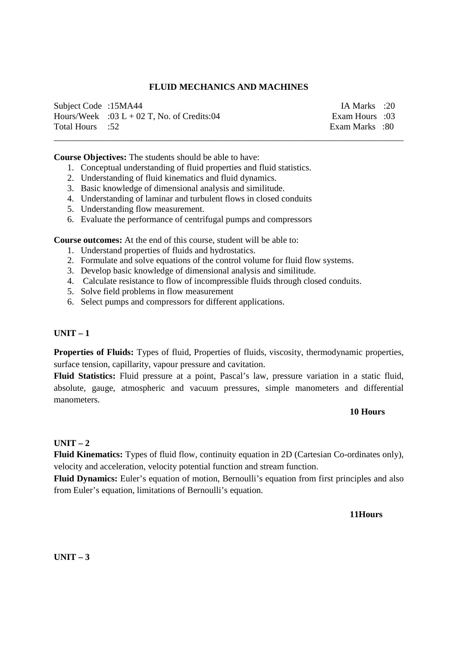### **FLUID MECHANICS AND MACHINES**

| Subject Code :15MA44 |                                            | IA Marks :20   |  |
|----------------------|--------------------------------------------|----------------|--|
|                      | Hours/Week :03 L + 02 T, No. of Credits:04 | Exam Hours :03 |  |
| 52: Total Hours      |                                            | Exam Marks :80 |  |
|                      |                                            |                |  |

**Course Objectives:** The students should be able to have:

- 1. Conceptual understanding of fluid properties and fluid statistics.
- 2. Understanding of fluid kinematics and fluid dynamics.
- 3. Basic knowledge of dimensional analysis and similitude.
- 4. Understanding of laminar and turbulent flows in closed conduits
- 5. Understanding flow measurement.
- 6. Evaluate the performance of centrifugal pumps and compressors

**Course outcomes:** At the end of this course, student will be able to:

- 1. Understand properties of fluids and hydrostatics.
- 2. Formulate and solve equations of the control volume for fluid flow systems.
- 3. Develop basic knowledge of dimensional analysis and similitude.
- 4. Calculate resistance to flow of incompressible fluids through closed conduits.
- 5. Solve field problems in flow measurement
- 6. Select pumps and compressors for different applications.

### **UNIT – 1**

**Properties of Fluids:** Types of fluid, Properties of fluids, viscosity, thermodynamic properties, surface tension, capillarity, vapour pressure and cavitation.

**Fluid Statistics:** Fluid pressure at a point, Pascal's law, pressure variation in a static fluid, absolute, gauge, atmospheric and vacuum pressures, simple manometers and differential manometers.

#### **10 Hours**

### **UNIT – 2**

**Fluid Kinematics:** Types of fluid flow, continuity equation in 2D (Cartesian Co-ordinates only), velocity and acceleration, velocity potential function and stream function.

**Fluid Dynamics:** Euler's equation of motion, Bernoulli's equation from first principles and also from Euler's equation, limitations of Bernoulli's equation.

**11Hours** 

**UNIT – 3**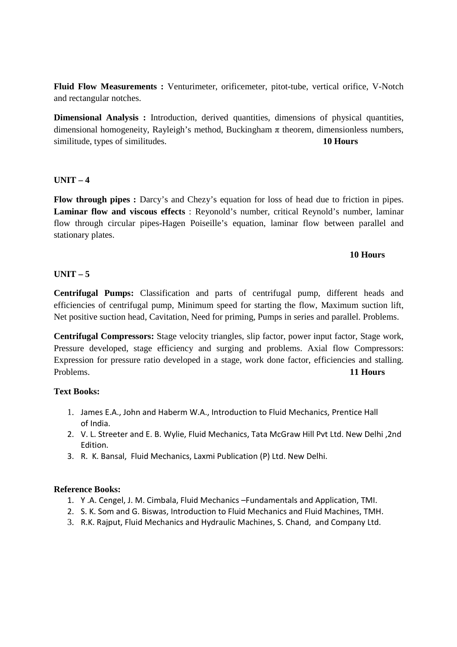**Fluid Flow Measurements :** Venturimeter, orificemeter, pitot-tube, vertical orifice, V-Notch and rectangular notches.

**Dimensional Analysis :** Introduction, derived quantities, dimensions of physical quantities, dimensional homogeneity, Rayleigh's method, Buckingham  $\pi$  theorem, dimensionless numbers, similitude, types of similitudes. **10 Hours**

### **UNIT – 4**

**Flow through pipes :** Darcy's and Chezy's equation for loss of head due to friction in pipes. **Laminar flow and viscous effects** : Reyonold's number, critical Reynold's number, laminar flow through circular pipes-Hagen Poiseille's equation, laminar flow between parallel and stationary plates.

### **10 Hours**

### **UNIT – 5**

**Centrifugal Pumps:** Classification and parts of centrifugal pump, different heads and efficiencies of centrifugal pump, Minimum speed for starting the flow, Maximum suction lift, Net positive suction head, Cavitation, Need for priming, Pumps in series and parallel. Problems.

**Centrifugal Compressors:** Stage velocity triangles, slip factor, power input factor, Stage work, Pressure developed, stage efficiency and surging and problems. Axial flow Compressors: Expression for pressure ratio developed in a stage, work done factor, efficiencies and stalling. Problems. **11 Hours** 

### **Text Books:**

- 1. James E.A., John and Haberm W.A., Introduction to Fluid Mechanics, Prentice Hall of India.
- 2. V. L. Streeter and E. B. Wylie, Fluid Mechanics, Tata McGraw Hill Pvt Ltd. New Delhi ,2nd Edition.
- 3. R. K. Bansal, Fluid Mechanics, Laxmi Publication (P) Ltd. New Delhi.

### **Reference Books:**

- 1. Y .A. Cengel, J. M. Cimbala, Fluid Mechanics –Fundamentals and Application, TMI.
- 2. S. K. Som and G. Biswas, Introduction to Fluid Mechanics and Fluid Machines, TMH.
- 3. R.K. Rajput, Fluid Mechanics and Hydraulic Machines, S. Chand, and Company Ltd.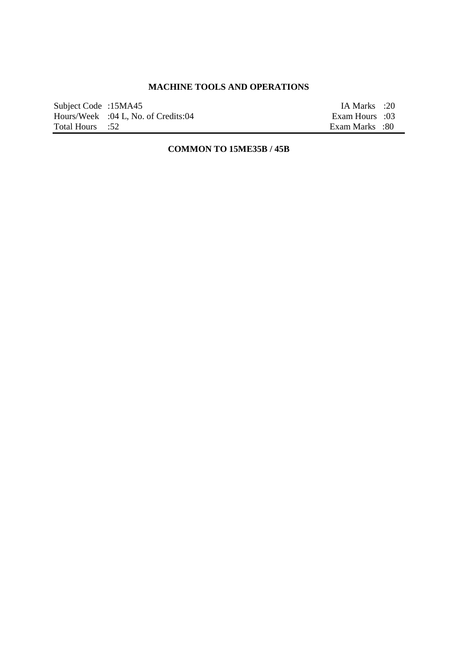# **MACHINE TOOLS AND OPERATIONS**

| Subject Code :15MA45 |                                     | IA Marks :20   |  |
|----------------------|-------------------------------------|----------------|--|
|                      | Hours/Week :04 L, No. of Credits:04 | Com Hours :03  |  |
| Total Hours :52      |                                     | Exam Marks :80 |  |

# **COMMON TO 15ME35B / 45B**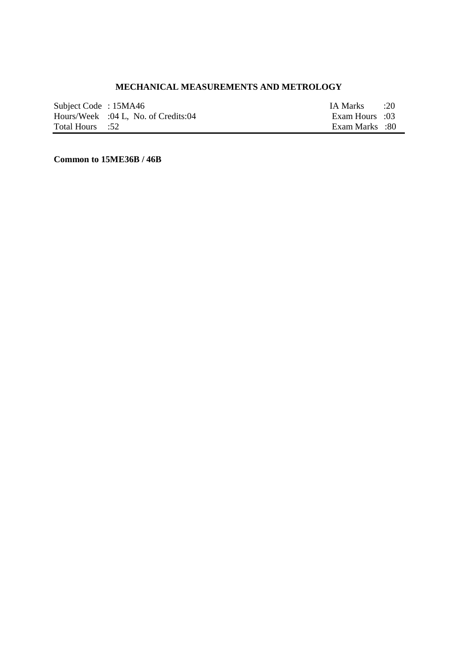# **MECHANICAL MEASUREMENTS AND METROLOGY**

| Subject Code: 15MA46 |                                     | IA Marks       | 20 |
|----------------------|-------------------------------------|----------------|----|
|                      | Hours/Week :04 L, No. of Credits:04 | Exam Hours :03 |    |
| Total Hours :52      |                                     | Exam Marks :80 |    |

**Common to 15ME36B / 46B**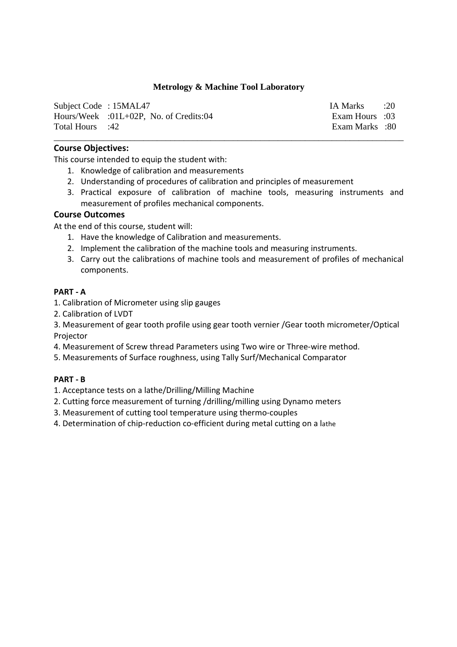### **Metrology & Machine Tool Laboratory**

| Subject Code: 15MAL47 |                                            | IA Marks :20   |  |
|-----------------------|--------------------------------------------|----------------|--|
|                       | Hours/Week : $01L+02P$ , No. of Credits:04 | Exam Hours :03 |  |
| 42: Total Hours       |                                            | Exam Marks :80 |  |

\_\_\_\_\_\_\_\_\_\_\_\_\_\_\_\_\_\_\_\_\_\_\_\_\_\_\_\_\_\_\_\_\_\_\_\_\_\_\_\_\_\_\_\_\_\_\_\_\_\_\_\_\_\_\_\_\_\_\_\_\_\_\_\_\_\_\_\_\_\_\_\_\_\_\_\_\_\_

#### **Course Objectives:**

This course intended to equip the student with:

- 1. Knowledge of calibration and measurements
- 2. Understanding of procedures of calibration and principles of measurement
- 3. Practical exposure of calibration of machine tools, measuring instruments and measurement of profiles mechanical components.

## **Course Outcomes**

At the end of this course, student will:

- 1. Have the knowledge of Calibration and measurements.
- 2. Implement the calibration of the machine tools and measuring instruments.
- 3. Carry out the calibrations of machine tools and measurement of profiles of mechanical components.

#### **PART - A**

- 1. Calibration of Micrometer using slip gauges
- 2. Calibration of LVDT
- 3. Measurement of gear tooth profile using gear tooth vernier /Gear tooth micrometer/Optical Projector
- 4. Measurement of Screw thread Parameters using Two wire or Three-wire method.
- 5. Measurements of Surface roughness, using Tally Surf/Mechanical Comparator

#### **PART - B**

- 1. Acceptance tests on a lathe/Drilling/Milling Machine
- 2. Cutting force measurement of turning /drilling/milling using Dynamo meters
- 3. Measurement of cutting tool temperature using thermo-couples
- 4. Determination of chip-reduction co-efficient during metal cutting on a lathe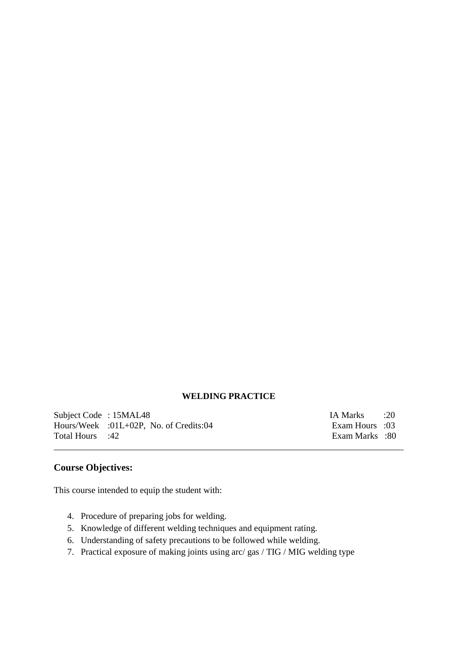#### **WELDING PRACTICE**

\_\_\_\_\_\_\_\_\_\_\_\_\_\_\_\_\_\_\_\_\_\_\_\_\_\_\_\_\_\_\_\_\_\_\_\_\_\_\_\_\_\_\_\_\_\_\_\_\_\_\_\_\_\_\_\_\_\_\_\_\_\_\_\_\_\_\_\_\_\_\_\_\_\_\_\_\_\_

Subject Code : 15MAL48 IA Marks : 20<br>
Hours/Week : 01L+02P, No. of Credits:04 Exam Hours : 03 Hours/Week :01L+02P, No. of Credits:04 Total Hours :42 Exam Marks :80

# **Course Objectives:**

This course intended to equip the student with:

- 4. Procedure of preparing jobs for welding.
- 5. Knowledge of different welding techniques and equipment rating.
- 6. Understanding of safety precautions to be followed while welding.
- 7. Practical exposure of making joints using arc/ gas / TIG / MIG welding type